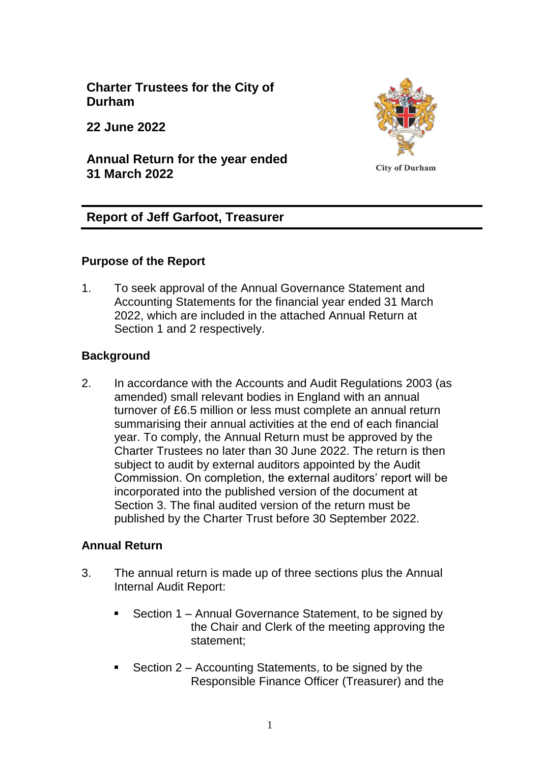**Charter Trustees for the City of Durham**

**22 June 2022**

**Annual Return for the year ended 31 March 2022**



# **Report of Jeff Garfoot, Treasurer**

## **Purpose of the Report**

1. To seek approval of the Annual Governance Statement and Accounting Statements for the financial year ended 31 March 2022, which are included in the attached Annual Return at Section 1 and 2 respectively.

## **Background**

2. In accordance with the Accounts and Audit Regulations 2003 (as amended) small relevant bodies in England with an annual turnover of £6.5 million or less must complete an annual return summarising their annual activities at the end of each financial year. To comply, the Annual Return must be approved by the Charter Trustees no later than 30 June 2022. The return is then subject to audit by external auditors appointed by the Audit Commission. On completion, the external auditors' report will be incorporated into the published version of the document at Section 3. The final audited version of the return must be published by the Charter Trust before 30 September 2022.

## **Annual Return**

- 3. The annual return is made up of three sections plus the Annual Internal Audit Report:
	- Section 1 Annual Governance Statement, to be signed by the Chair and Clerk of the meeting approving the statement;
	- Section 2 Accounting Statements, to be signed by the Responsible Finance Officer (Treasurer) and the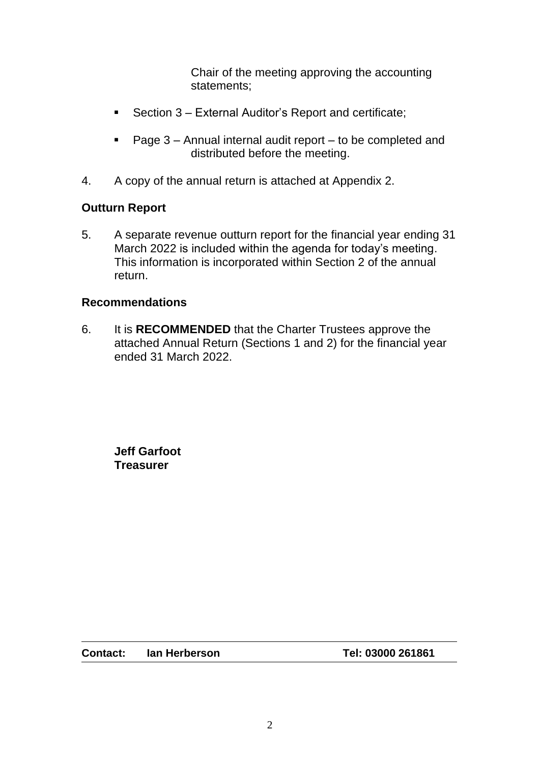Chair of the meeting approving the accounting statements;

- Section 3 External Auditor's Report and certificate;
- Page 3 Annual internal audit report to be completed and distributed before the meeting.
- 4. A copy of the annual return is attached at Appendix 2.

### **Outturn Report**

5. A separate revenue outturn report for the financial year ending 31 March 2022 is included within the agenda for today's meeting. This information is incorporated within Section 2 of the annual return.

#### **Recommendations**

6. It is **RECOMMENDED** that the Charter Trustees approve the attached Annual Return (Sections 1 and 2) for the financial year ended 31 March 2022.

**Jeff Garfoot Treasurer** 

**Contact: Ian Herberson Tel: 03000 261861**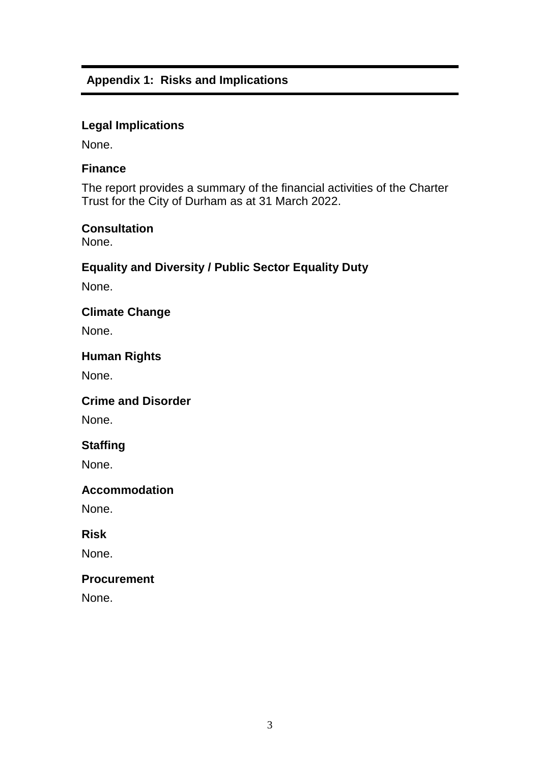## **Appendix 1: Risks and Implications**

### **Legal Implications**

None.

#### **Finance**

The report provides a summary of the financial activities of the Charter Trust for the City of Durham as at 31 March 2022.

#### **Consultation**

None.

## **Equality and Diversity / Public Sector Equality Duty**

None.

### **Climate Change**

None.

#### **Human Rights**

None.

#### **Crime and Disorder**

None.

## **Staffing**

None.

#### **Accommodation**

None.

#### **Risk**

None.

#### **Procurement**

None.